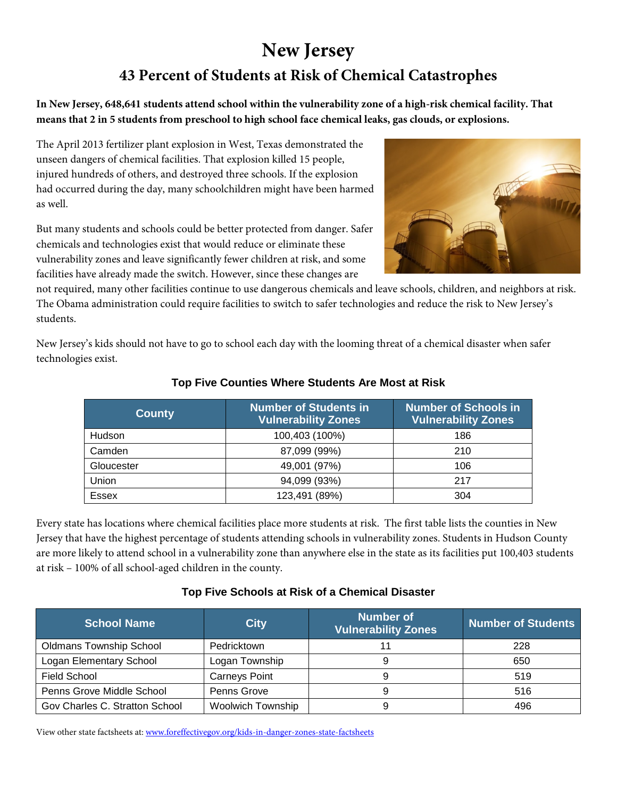# **New Jersey 43 Percent of Students at Risk of Chemical Catastrophes**

**In New Jersey, 648,641 students attend school within the vulnerability zone of a high-risk chemical facility. That means that 2 in 5 students from preschool to high school face chemical leaks, gas clouds, or explosions.**

The April 2013 fertilizer plant explosion in West, Texas demonstrated the unseen dangers of chemical facilities. That explosion killed 15 people, injured hundreds of others, and destroyed three schools. If the explosion had occurred during the day, many schoolchildren might have been harmed as well.

But many students and schools could be better protected from danger. Safer chemicals and technologies exist that would reduce or eliminate these vulnerability zones and leave significantly fewer children at risk, and some facilities have already made the switch. However, since these changes are

not required, many other facilities continue to use dangerous chemicals and leave schools, children, and neighbors at risk. The Obama administration could require facilities to switch to safer technologies and reduce the risk to New Jersey's students.

New Jersey's kids should not have to go to school each day with the looming threat of a chemical disaster when safer technologies exist.

| <b>County</b> | <b>Number of Students in</b><br><b>Vulnerability Zones</b> | <b>Number of Schools in</b><br><b>Vulnerability Zones</b> |  |
|---------------|------------------------------------------------------------|-----------------------------------------------------------|--|
| Hudson        | 100,403 (100%)                                             | 186                                                       |  |
| Camden        | 87,099 (99%)                                               | 210                                                       |  |
| Gloucester    | 49,001 (97%)                                               | 106                                                       |  |
| Union         | 94,099 (93%)                                               | 217                                                       |  |
| <b>Essex</b>  | 123,491 (89%)                                              | 304                                                       |  |

#### **Top Five Counties Where Students Are Most at Risk**

Every state has locations where chemical facilities place more students at risk. The first table lists the counties in New Jersey that have the highest percentage of students attending schools in vulnerability zones. Students in Hudson County are more likely to attend school in a vulnerability zone than anywhere else in the state as its facilities put 100,403 students at risk – 100% of all school-aged children in the county.

#### **Top Five Schools at Risk of a Chemical Disaster**

| <b>School Name</b>             | City                     | <b>Number of</b><br><b>Vulnerability Zones</b> | <b>Number of Students</b> |
|--------------------------------|--------------------------|------------------------------------------------|---------------------------|
| <b>Oldmans Township School</b> | Pedricktown              |                                                | 228                       |
| Logan Elementary School        | Logan Township           |                                                | 650                       |
| <b>Field School</b>            | <b>Carneys Point</b>     | 9                                              | 519                       |
| Penns Grove Middle School      | Penns Grove              | 9                                              | 516                       |
| Gov Charles C. Stratton School | <b>Woolwich Township</b> |                                                | 496                       |

View other state factsheets at: [www.foreffectivegov.org/kids-in-danger-zones-state-factsheets](http://www.foreffectivegov.org/kids-in-danger-zones-state-factsheets)